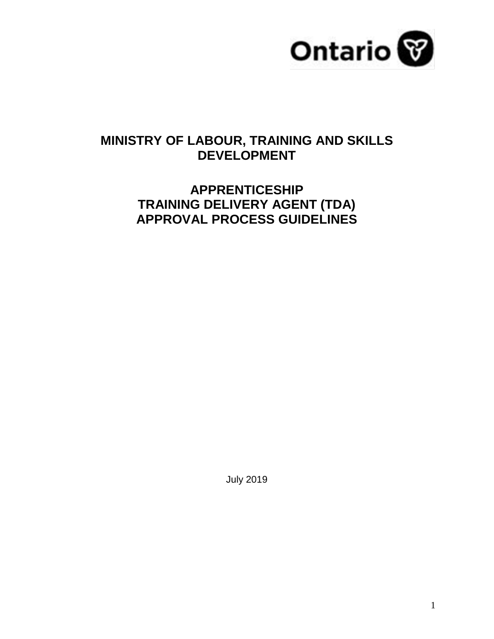

### **MINISTRY OF LABOUR, TRAINING AND SKILLS DEVELOPMENT**

## **APPRENTICESHIP TRAINING DELIVERY AGENT (TDA) APPROVAL PROCESS GUIDELINES**

July 2019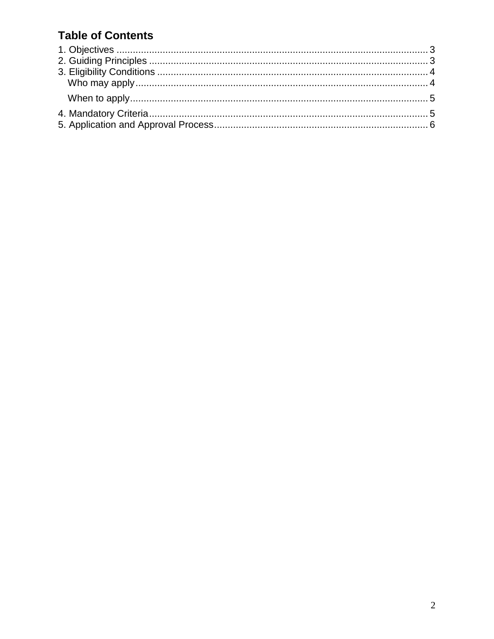## **Table of Contents**

<span id="page-1-0"></span>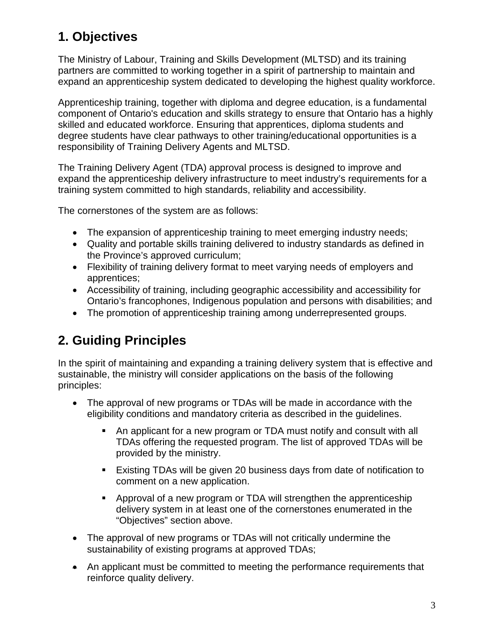## **1. Objectives**

The Ministry of Labour, Training and Skills Development (MLTSD) and its training partners are committed to working together in a spirit of partnership to maintain and expand an apprenticeship system dedicated to developing the highest quality workforce.

Apprenticeship training, together with diploma and degree education, is a fundamental component of Ontario's education and skills strategy to ensure that Ontario has a highly skilled and educated workforce. Ensuring that apprentices, diploma students and degree students have clear pathways to other training/educational opportunities is a responsibility of Training Delivery Agents and MLTSD.

The Training Delivery Agent (TDA) approval process is designed to improve and expand the apprenticeship delivery infrastructure to meet industry's requirements for a training system committed to high standards, reliability and accessibility.

The cornerstones of the system are as follows:

- The expansion of apprenticeship training to meet emerging industry needs;
- Quality and portable skills training delivered to industry standards as defined in the Province's approved curriculum;
- Flexibility of training delivery format to meet varying needs of employers and apprentices;
- Accessibility of training, including geographic accessibility and accessibility for Ontario's francophones, Indigenous population and persons with disabilities; and
- The promotion of apprenticeship training among underrepresented groups.

## <span id="page-2-0"></span>**2. Guiding Principles**

In the spirit of maintaining and expanding a training delivery system that is effective and sustainable, the ministry will consider applications on the basis of the following principles:

- The approval of new programs or TDAs will be made in accordance with the eligibility conditions and mandatory criteria as described in the guidelines.
	- An applicant for a new program or TDA must notify and consult with all TDAs offering the requested program. The list of approved TDAs will be provided by the ministry.
	- Existing TDAs will be given 20 business days from date of notification to comment on a new application.
	- Approval of a new program or TDA will strengthen the apprenticeship delivery system in at least one of the cornerstones enumerated in the "Objectives" section above.
- The approval of new programs or TDAs will not critically undermine the sustainability of existing programs at approved TDAs;
- An applicant must be committed to meeting the performance requirements that reinforce quality delivery.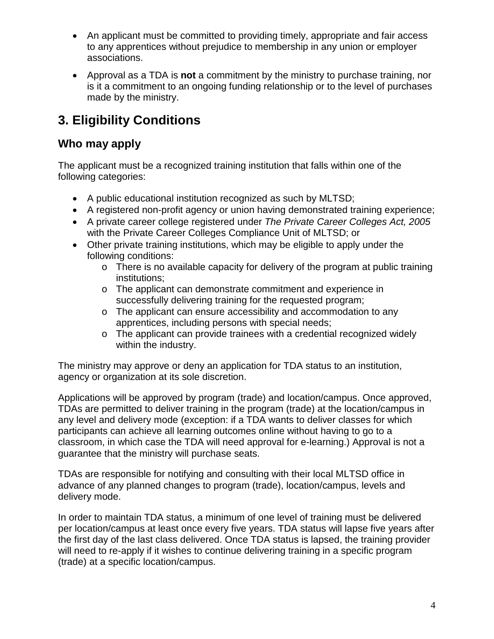- An applicant must be committed to providing timely, appropriate and fair access to any apprentices without prejudice to membership in any union or employer associations.
- Approval as a TDA is **not** a commitment by the ministry to purchase training, nor is it a commitment to an ongoing funding relationship or to the level of purchases made by the ministry.

# <span id="page-3-0"></span>**3. Eligibility Conditions**

### <span id="page-3-1"></span>**Who may apply**

The applicant must be a recognized training institution that falls within one of the following categories:

- A public educational institution recognized as such by MLTSD;
- A registered non-profit agency or union having demonstrated training experience;
- A private career college registered under *The Private Career Colleges Act, 2005* with the Private Career Colleges Compliance Unit of MLTSD; or
- Other private training institutions, which may be eligible to apply under the following conditions:
	- o There is no available capacity for delivery of the program at public training institutions;
	- o The applicant can demonstrate commitment and experience in successfully delivering training for the requested program;
	- o The applicant can ensure accessibility and accommodation to any apprentices, including persons with special needs;
	- o The applicant can provide trainees with a credential recognized widely within the industry.

The ministry may approve or deny an application for TDA status to an institution, agency or organization at its sole discretion.

Applications will be approved by program (trade) and location/campus. Once approved, TDAs are permitted to deliver training in the program (trade) at the location/campus in any level and delivery mode (exception: if a TDA wants to deliver classes for which participants can achieve all learning outcomes online without having to go to a classroom, in which case the TDA will need approval for e-learning.) Approval is not a guarantee that the ministry will purchase seats.

TDAs are responsible for notifying and consulting with their local MLTSD office in advance of any planned changes to program (trade), location/campus, levels and delivery mode.

In order to maintain TDA status, a minimum of one level of training must be delivered per location/campus at least once every five years. TDA status will lapse five years after the first day of the last class delivered. Once TDA status is lapsed, the training provider will need to re-apply if it wishes to continue delivering training in a specific program (trade) at a specific location/campus.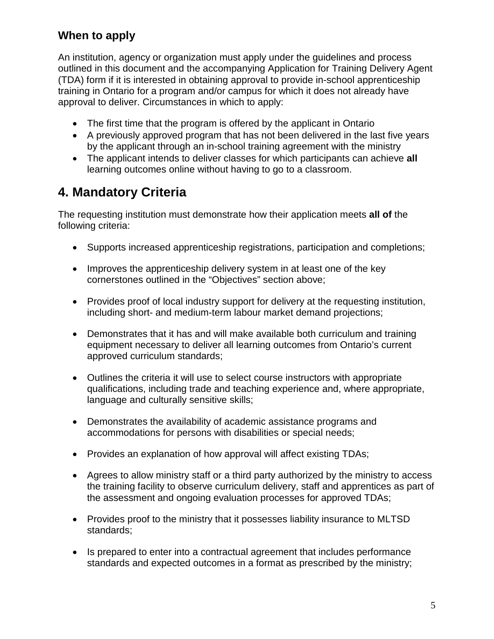### <span id="page-4-0"></span>**When to apply**

An institution, agency or organization must apply under the guidelines and process outlined in this document and the accompanying Application for Training Delivery Agent (TDA) form if it is interested in obtaining approval to provide in-school apprenticeship training in Ontario for a program and/or campus for which it does not already have approval to deliver. Circumstances in which to apply:

- The first time that the program is offered by the applicant in Ontario
- A previously approved program that has not been delivered in the last five years by the applicant through an in-school training agreement with the ministry
- The applicant intends to deliver classes for which participants can achieve **all** learning outcomes online without having to go to a classroom.

## <span id="page-4-1"></span>**4. Mandatory Criteria**

The requesting institution must demonstrate how their application meets **all of** the following criteria:

- Supports increased apprenticeship registrations, participation and completions;
- Improves the apprenticeship delivery system in at least one of the key cornerstones outlined in the "Objectives" section above;
- Provides proof of local industry support for delivery at the requesting institution, including short- and medium-term labour market demand projections;
- Demonstrates that it has and will make available both curriculum and training equipment necessary to deliver all learning outcomes from Ontario's current approved curriculum standards;
- Outlines the criteria it will use to select course instructors with appropriate qualifications, including trade and teaching experience and, where appropriate, language and culturally sensitive skills;
- Demonstrates the availability of academic assistance programs and accommodations for persons with disabilities or special needs;
- Provides an explanation of how approval will affect existing TDAs;
- Agrees to allow ministry staff or a third party authorized by the ministry to access the training facility to observe curriculum delivery, staff and apprentices as part of the assessment and ongoing evaluation processes for approved TDAs;
- Provides proof to the ministry that it possesses liability insurance to MLTSD standards;
- Is prepared to enter into a contractual agreement that includes performance standards and expected outcomes in a format as prescribed by the ministry;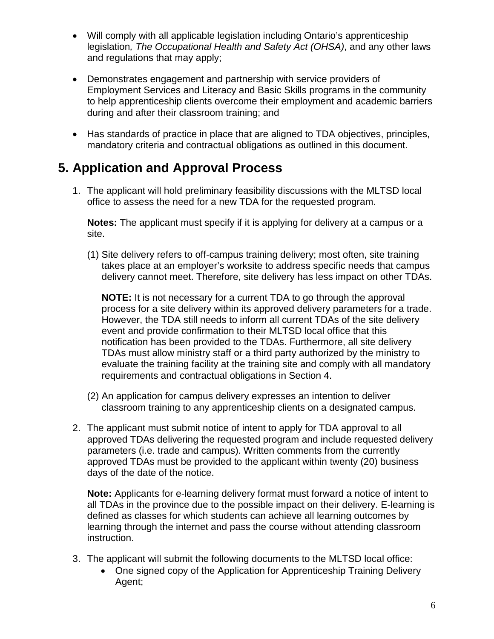- Will comply with all applicable legislation including Ontario's apprenticeship legislation*, The Occupational Health and Safety Act (OHSA)*, and any other laws and regulations that may apply;
- Demonstrates engagement and partnership with service providers of Employment Services and Literacy and Basic Skills programs in the community to help apprenticeship clients overcome their employment and academic barriers during and after their classroom training; and
- Has standards of practice in place that are aligned to TDA objectives, principles, mandatory criteria and contractual obligations as outlined in this document.

## <span id="page-5-0"></span>**5. Application and Approval Process**

1. The applicant will hold preliminary feasibility discussions with the MLTSD local office to assess the need for a new TDA for the requested program.

**Notes:** The applicant must specify if it is applying for delivery at a campus or a site.

(1) Site delivery refers to off-campus training delivery; most often, site training takes place at an employer's worksite to address specific needs that campus delivery cannot meet. Therefore, site delivery has less impact on other TDAs.

**NOTE:** It is not necessary for a current TDA to go through the approval process for a site delivery within its approved delivery parameters for a trade. However, the TDA still needs to inform all current TDAs of the site delivery event and provide confirmation to their MLTSD local office that this notification has been provided to the TDAs. Furthermore, all site delivery TDAs must allow ministry staff or a third party authorized by the ministry to evaluate the training facility at the training site and comply with all mandatory requirements and contractual obligations in Section 4.

- (2) An application for campus delivery expresses an intention to deliver classroom training to any apprenticeship clients on a designated campus.
- 2. The applicant must submit notice of intent to apply for TDA approval to all approved TDAs delivering the requested program and include requested delivery parameters (i.e. trade and campus). Written comments from the currently approved TDAs must be provided to the applicant within twenty (20) business days of the date of the notice.

**Note:** Applicants for e-learning delivery format must forward a notice of intent to all TDAs in the province due to the possible impact on their delivery. E-learning is defined as classes for which students can achieve all learning outcomes by learning through the internet and pass the course without attending classroom instruction.

- 3. The applicant will submit the following documents to the MLTSD local office:
	- One signed copy of the Application for Apprenticeship Training Delivery Agent;